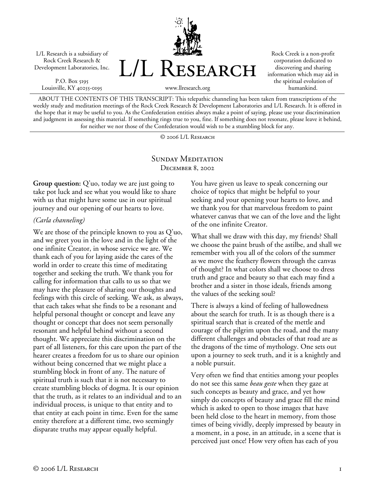L/L Research is a subsidiary of Rock Creek Research & Development Laboratories, Inc.

P.O. Box 5195 Louisville, KY 40255-0195



Rock Creek is a non-profit corporation dedicated to discovering and sharing information which may aid in the spiritual evolution of humankind.

www.llresearch.org

ABOUT THE CONTENTS OF THIS TRANSCRIPT: This telepathic channeling has been taken from transcriptions of the weekly study and meditation meetings of the Rock Creek Research & Development Laboratories and L/L Research. It is offered in the hope that it may be useful to you. As the Confederation entities always make a point of saying, please use your discrimination and judgment in assessing this material. If something rings true to you, fine. If something does not resonate, please leave it behind, for neither we nor those of the Confederation would wish to be a stumbling block for any.

© 2006 L/L Research

## SUNDAY MEDITATION December 8, 2002

**Group question:** Q'uo, today we are just going to take pot luck and see what you would like to share with us that might have some use in our spiritual journey and our opening of our hearts to love.

## *(Carla channeling)*

We are those of the principle known to you as Q'uo, and we greet you in the love and in the light of the one infinite Creator, in whose service we are. We thank each of you for laying aside the cares of the world in order to create this time of meditating together and seeking the truth. We thank you for calling for information that calls to us so that we may have the pleasure of sharing our thoughts and feelings with this circle of seeking. We ask, as always, that each takes what she finds to be a resonant and helpful personal thought or concept and leave any thought or concept that does not seem personally resonant and helpful behind without a second thought. We appreciate this discrimination on the part of all listeners, for this care upon the part of the hearer creates a freedom for us to share our opinion without being concerned that we might place a stumbling block in front of any. The nature of spiritual truth is such that it is not necessary to create stumbling blocks of dogma. It is our opinion that the truth, as it relates to an individual and to an individual process, is unique to that entity and to that entity at each point in time. Even for the same entity therefore at a different time, two seemingly disparate truths may appear equally helpful.

You have given us leave to speak concerning our choice of topics that might be helpful to your seeking and your opening your hearts to love, and we thank you for that marvelous freedom to paint whatever canvas that we can of the love and the light of the one infinite Creator.

What shall we draw with this day, my friends? Shall we choose the paint brush of the astilbe, and shall we remember with you all of the colors of the summer as we move the feathery flowers through the canvas of thought? In what colors shall we choose to dress truth and grace and beauty so that each may find a brother and a sister in those ideals, friends among the values of the seeking soul?

There is always a kind of feeling of hallowedness about the search for truth. It is as though there is a spiritual search that is created of the mettle and courage of the pilgrim upon the road, and the many different challenges and obstacles of that road are as the dragons of the time of mythology. One sets out upon a journey to seek truth, and it is a knightly and a noble pursuit.

Very often we find that entities among your peoples do not see this same *beau geste* when they gaze at such concepts as beauty and grace, and yet how simply do concepts of beauty and grace fill the mind which is asked to open to those images that have been held close to the heart in memory, from those times of being vividly, deeply impressed by beauty in a moment, in a pose, in an attitude, in a scene that is perceived just once! How very often has each of you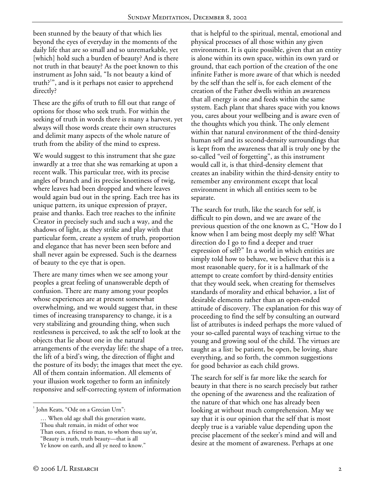been stunned by the beauty of that which lies beyond the eyes of everyday in the moments of the daily life that are so small and so unremarkable, yet [which] hold such a burden of beauty? And is there not truth in that beauty? As the poet known to this instrument as John said, "Is not beauty a kind of truth?<sup>1</sup>", and is it perhaps not easier to apprehend directly?

These are the gifts of truth to fill out that range of options for those who seek truth. For within the seeking of truth in words there is many a harvest, yet always will those words create their own structures and delimit many aspects of the whole nature of truth from the ability of the mind to express.

We would suggest to this instrument that she gaze inwardly at a tree that she was remarking at upon a recent walk. This particular tree, with its precise angles of branch and its precise knottiness of twig, where leaves had been dropped and where leaves would again bud out in the spring. Each tree has its unique pattern, its unique expression of prayer, praise and thanks. Each tree reaches to the infinite Creator in precisely such and such a way, and the shadows of light, as they strike and play with that particular form, create a system of truth, proportion and elegance that has never been seen before and shall never again be expressed. Such is the dearness of beauty to the eye that is open.

There are many times when we see among your peoples a great feeling of unanswerable depth of confusion. There are many among your peoples whose experiences are at present somewhat overwhelming, and we would suggest that, in these times of increasing transparency to change, it is a very stabilizing and grounding thing, when such restlessness is perceived, to ask the self to look at the objects that lie about one in the natural arrangements of the everyday life: the shape of a tree, the lift of a bird's wing, the direction of flight and the posture of its body; the images that meet the eye. All of them contain information. All elements of your illusion work together to form an infinitely responsive and self-correcting system of information

that is helpful to the spiritual, mental, emotional and physical processes of all those within any given environment. It is quite possible, given that an entity is alone within its own space, within its own yard or ground, that each portion of the creation of the one infinite Father is more aware of that which is needed by the self than the self is, for each element of the creation of the Father dwells within an awareness that all energy is one and feeds within the same system. Each plant that shares space with you knows you, cares about your wellbeing and is aware even of the thoughts which you think. The only element within that natural environment of the third-density human self and its second-density surroundings that is kept from the awareness that all is truly one by the so-called "veil of forgetting", as this instrument would call it, is that third-density element that creates an inability within the third-density entity to remember any environment except that local environment in which all entities seem to be separate.

The search for truth, like the search for self, is difficult to pin down, and we are aware of the previous question of the one known as C, "How do I know when I am being most deeply my self? What direction do I go to find a deeper and truer expression of self?" In a world in which entities are simply told how to behave, we believe that this is a most reasonable query, for it is a hallmark of the attempt to create comfort by third-density entities that they would seek, when creating for themselves standards of morality and ethical behavior, a list of desirable elements rather than an open-ended attitude of discovery. The explanation for this way of proceeding to find the self by consulting an outward list of attributes is indeed perhaps the more valued of your so-called parental ways of teaching virtue to the young and growing soul of the child. The virtues are taught as a list: be patient, be open, be loving, share everything, and so forth, the common suggestions for good behavior as each child grows.

The search for self is far more like the search for beauty in that there is no search precisely but rather the opening of the awareness and the realization of the nature of that which one has already been looking at without much comprehension. May we say that it is our opinion that the self that is most deeply true is a variable value depending upon the precise placement of the seeker's mind and will and desire at the moment of awareness. Perhaps at one

 $\overline{a}$ 

<sup>&</sup>lt;sup>1</sup> John Keats, "Ode on a Grecian Urn":

<sup>…</sup> When old age shall this generation waste,

Thou shalt remain, in midst of other woe

Than ours, a friend to man, to whom thou say'st,

<sup>&</sup>quot;Beauty is truth, truth beauty—that is all

Ye know on earth, and all ye need to know."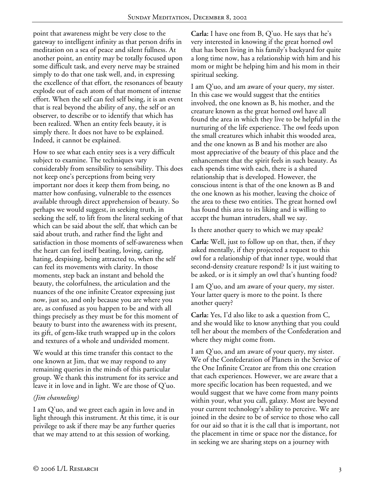point that awareness might be very close to the gateway to intelligent infinity as that person drifts in meditation on a sea of peace and silent fullness. At another point, an entity may be totally focused upon some difficult task, and every nerve may be strained simply to do that one task well, and, in expressing the excellence of that effort, the resonances of beauty explode out of each atom of that moment of intense effort. When the self can feel self being, it is an event that is real beyond the ability of any, the self or an observer, to describe or to identify that which has been realized. When an entity feels beauty, it is simply there. It does not have to be explained. Indeed, it cannot be explained.

How to see what each entity sees is a very difficult subject to examine. The techniques vary considerably from sensibility to sensibility. This does not keep one's perceptions from being very important nor does it keep them from being, no matter how confusing, vulnerable to the essences available through direct apprehension of beauty. So perhaps we would suggest, in seeking truth, in seeking the self, to lift from the literal seeking of that which can be said about the self, that which can be said about truth, and rather find the light and satisfaction in those moments of self-awareness when the heart can feel itself beating, loving, caring, hating, despising, being attracted to, when the self can feel its movements with clarity. In those moments, step back an instant and behold the beauty, the colorfulness, the articulation and the nuances of the one infinite Creator expressing just now, just so, and only because you are where you are, as confused as you happen to be and with all things precisely as they must be for this moment of beauty to burst into the awareness with its present, its gift, of gem-like truth wrapped up in the colors and textures of a whole and undivided moment.

We would at this time transfer this contact to the one known at Jim, that we may respond to any remaining queries in the minds of this particular group. We thank this instrument for its service and leave it in love and in light. We are those of Q'uo.

## *(Jim channeling)*

I am Q'uo, and we greet each again in love and in light through this instrument. At this time, it is our privilege to ask if there may be any further queries that we may attend to at this session of working.

**Carla:** I have one from B, Q'uo. He says that he's very interested in knowing if the great horned owl that has been living in his family's backyard for quite a long time now, has a relationship with him and his mom or might be helping him and his mom in their spiritual seeking.

I am Q'uo, and am aware of your query, my sister. In this case we would suggest that the entities involved, the one known as B, his mother, and the creature known as the great horned owl have all found the area in which they live to be helpful in the nurturing of the life experience. The owl feeds upon the small creatures which inhabit this wooded area, and the one known as B and his mother are also most appreciative of the beauty of this place and the enhancement that the spirit feels in such beauty. As each spends time with each, there is a shared relationship that is developed. However, the conscious intent is that of the one known as B and the one known as his mother, leaving the choice of the area to these two entities. The great horned owl has found this area to its liking and is willing to accept the human intruders, shall we say.

Is there another query to which we may speak?

**Carla:** Well, just to follow up on that, then, if they asked mentally, if they projected a request to this owl for a relationship of that inner type, would that second-density creature respond? Is it just waiting to be asked, or is it simply an owl that's hunting food?

I am Q'uo, and am aware of your query, my sister. Your latter query is more to the point. Is there another query?

**Carla:** Yes, I'd also like to ask a question from C, and she would like to know anything that you could tell her about the members of the Confederation and where they might come from.

I am Q'uo, and am aware of your query, my sister. We of the Confederation of Planets in the Service of the One Infinite Creator are from this one creation that each experiences. However, we are aware that a more specific location has been requested, and we would suggest that we have come from many points within your, what you call, galaxy. Most are beyond your current technology's ability to perceive. We are joined in the desire to be of service to those who call for our aid so that it is the call that is important, not the placement in time or space nor the distance, for in seeking we are sharing steps on a journey with